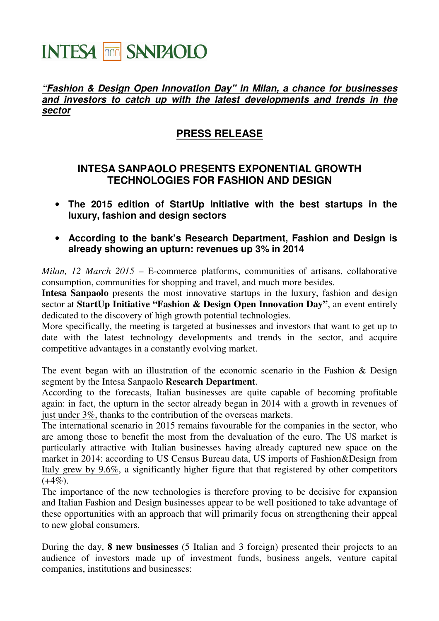## **INTESA THE SANPAOLO**

## **"Fashion & Design Open Innovation Day" in Milan, a chance for businesses and investors to catch up with the latest developments and trends in the sector**

## **PRESS RELEASE**

## **INTESA SANPAOLO PRESENTS EXPONENTIAL GROWTH TECHNOLOGIES FOR FASHION AND DESIGN**

- **The 2015 edition of StartUp Initiative with the best startups in the luxury, fashion and design sectors**
- **According to the bank's Research Department, Fashion and Design is already showing an upturn: revenues up 3% in 2014**

*Milan, 12 March 2015* – E-commerce platforms, communities of artisans, collaborative consumption, communities for shopping and travel, and much more besides.

**Intesa Sanpaolo** presents the most innovative startups in the luxury, fashion and design sector at **StartUp Initiative "Fashion & Design Open Innovation Day"**, an event entirely dedicated to the discovery of high growth potential technologies.

More specifically, the meeting is targeted at businesses and investors that want to get up to date with the latest technology developments and trends in the sector, and acquire competitive advantages in a constantly evolving market.

The event began with an illustration of the economic scenario in the Fashion & Design segment by the Intesa Sanpaolo **Research Department**.

According to the forecasts, Italian businesses are quite capable of becoming profitable again: in fact, the upturn in the sector already began in 2014 with a growth in revenues of just under 3%, thanks to the contribution of the overseas markets.

The international scenario in 2015 remains favourable for the companies in the sector, who are among those to benefit the most from the devaluation of the euro. The US market is particularly attractive with Italian businesses having already captured new space on the market in 2014: according to US Census Bureau data, US imports of Fashion&Design from Italy grew by 9.6%, a significantly higher figure that that registered by other competitors  $(+4\%)$ .

The importance of the new technologies is therefore proving to be decisive for expansion and Italian Fashion and Design businesses appear to be well positioned to take advantage of these opportunities with an approach that will primarily focus on strengthening their appeal to new global consumers.

During the day, **8 new businesses** (5 Italian and 3 foreign) presented their projects to an audience of investors made up of investment funds, business angels, venture capital companies, institutions and businesses: